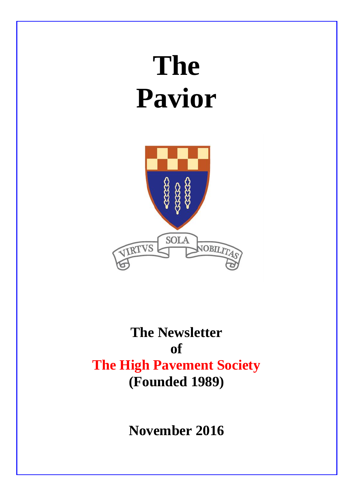# **The Pavior**



# **The Newsletter of The High Pavement Society (Founded 1989)**

**November 2016**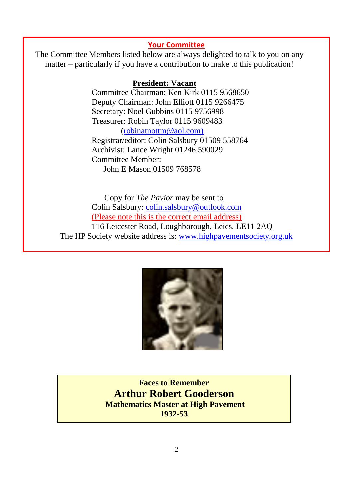#### **Your Committee**

The Committee Members listed below are always delighted to talk to you on any matter – particularly if you have a contribution to make to this publication!

#### **President: Vacant**

Committee Chairman: Ken Kirk 0115 9568650 Deputy Chairman: John Elliott 0115 9266475 Secretary: Noel Gubbins 0115 9756998 Treasurer: Robin Taylor 0115 9609483 [\(robinatnottm@aol.com\)](mailto:robinatnottm@aol.com) Registrar/editor: Colin Salsbury 01509 558764 Archivist: Lance Wright 01246 590029 Committee Member: John E Mason 01509 768578

 Copy for *The Pavior* may be sent to Colin Salsbury: [colin.salsbury@outlook.com](mailto:colin.salsbury@outlook.com) (Please note this is the correct email address) 116 Leicester Road, Loughborough, Leics. LE11 2AQ The HP Society website address is: [www.highpavementsociety.org.uk](http://www.highpavementsociety.org.uk/)



**Faces to Remember Arthur Robert Gooderson Mathematics Master at High Pavement 1932-53**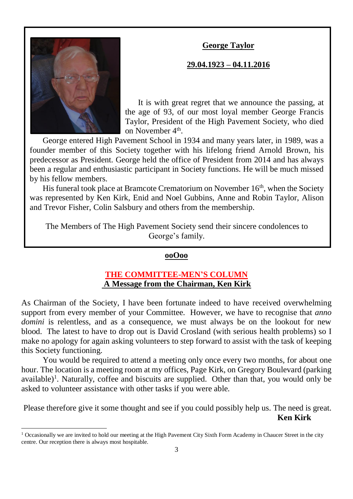# **George Taylor**



1

# **29.04.1923 – 04.11.2016**

It is with great regret that we announce the passing, at the age of 93, of our most loyal member George Francis Taylor, President of the High Pavement Society, who died on November 4<sup>th</sup>.

George entered High Pavement School in 1934 and many years later, in 1989, was a founder member of this Society together with his lifelong friend Arnold Brown, his predecessor as President. George held the office of President from 2014 and has always been a regular and enthusiastic participant in Society functions. He will be much missed by his fellow members.

His funeral took place at Bramcote Crematorium on November 16<sup>th</sup>, when the Society was represented by Ken Kirk, Enid and Noel Gubbins, Anne and Robin Taylor, Alison and Trevor Fisher, Colin Salsbury and others from the membership.

The Members of The High Pavement Society send their sincere condolences to George's family.

#### **ooOoo**

#### **THE COMMITTEE-MEN'S COLUMN A Message from the Chairman, Ken Kirk**

As Chairman of the Society, I have been fortunate indeed to have received overwhelming support from every member of your Committee. However, we have to recognise that *anno domini* is relentless, and as a consequence, we must always be on the lookout for new blood. The latest to have to drop out is David Crosland (with serious health problems) so I make no apology for again asking volunteers to step forward to assist with the task of keeping this Society functioning.

You would be required to attend a meeting only once every two months, for about one hour. The location is a meeting room at my offices, Page Kirk, on Gregory Boulevard (parking available)<sup>1</sup>. Naturally, coffee and biscuits are supplied. Other than that, you would only be asked to volunteer assistance with other tasks if you were able.

Please therefore give it some thought and see if you could possibly help us. The need is great. **Ken Kirk**

<sup>&</sup>lt;sup>1</sup> Occasionally we are invited to hold our meeting at the High Pavement City Sixth Form Academy in Chaucer Street in the city centre. Our reception there is always most hospitable.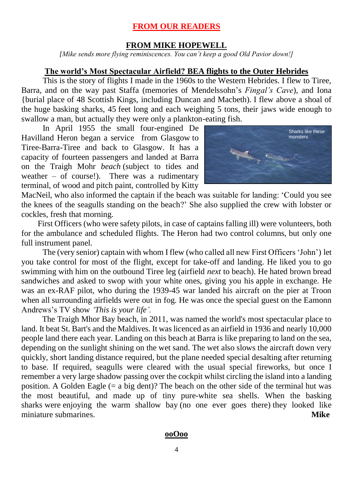# **FROM OUR READERS**

#### **FROM MIKE HOPEWELL**

*[Mike sends more flying reminiscences. You can't keep a good Old Pavior down!]*

#### **The world's Most Spectacular Airfield? BEA flights to the Outer Hebrides**

This is the story of flights I made in the 1960s to the Western Hebrides. I flew to Tiree, Barra, and on the way past Staffa (memories of Mendelssohn's *Fingal's Cave*), and Iona {burial place of 48 Scottish Kings, including Duncan and Macbeth). I flew above a shoal of the huge basking sharks, 45 feet long and each weighing 5 tons, their jaws wide enough to swallow a man, but actually they were only a plankton-eating fish.

 In April 1955 the small four-engined De Havilland Heron began a service from Glasgow to Tiree-Barra-Tiree and back to Glasgow. It has a capacity of fourteen passengers and landed at Barra on the Traigh Mohr *beach* (subject to tides and weather – of course!). There was a rudimentary terminal, of wood and pitch paint, controlled by Kitty



MacNeil, who also informed the captain if the beach was suitable for landing: 'Could you see the knees of the seagulls standing on the beach?' She also supplied the crew with lobster or cockles, fresh that morning.

 First Officers (who were safety pilots, in case of captains falling ill) were volunteers, both for the ambulance and scheduled flights. The Heron had two control columns, but only one full instrument panel.

The (very senior) captain with whom I flew (who called all new First Officers 'John') let you take control for most of the flight, except for take-off and landing. He liked you to go swimming with him on the outbound Tiree leg (airfield *next* to beach). He hated brown bread sandwiches and asked to swop with your white ones, giving you his apple in exchange. He was an ex-RAF pilot, who during the 1939-45 war landed his aircraft on the pier at Troon when all surrounding airfields were out in fog. He was once the special guest on the Eamonn Andrews's TV show *'This is your life'.*

 The Traigh Mhor Bay beach, in 2011, was named the world's most spectacular place to land. It beat St. Bart's and the Maldives. It was licenced as an airfield in 1936 and nearly 10,000 people land there each year. Landing on this beach at Barra is like preparing to land on the sea, depending on the sunlight shining on the wet sand. The wet also slows the aircraft down very quickly, short landing distance required, but the plane needed special desalting after returning to base. If required, seagulls were cleared with the usual special fireworks, but once I remember a very large shadow passing over the cockpit whilst circling the island into a landing position. A Golden Eagle  $(= a \text{ big dent})$ ? The beach on the other side of the terminal hut was the most beautiful, and made up of tiny pure-white sea shells. When the basking sharks were enjoying the warm shallow bay (no one ever goes there) they looked like miniature submarines. **Mike**

#### **ooOoo**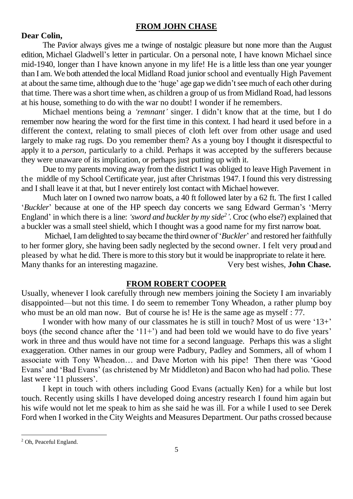# **FROM JOHN CHASE**

# **Dear Colin,**

The Pavior always gives me a twinge of nostalgic pleasure but none more than the August edition, Michael Gladwell's letter in particular. On a personal note, I have known Michael since mid-1940, longer than I have known anyone in my life! He is a little less than one year younger than I am. We both attended the local Midland Road junior school and eventually High Pavement at about the same time, although due to the 'huge' age gap we didn't see much of each other during that time. There was a short time when, as children a group of us from Midland Road, had lessons at his house, something to do with the war no doubt! I wonder if he remembers.

Michael mentions being a *'remnant'* singer. I didn't know that at the time, but I do remember now hearing the word for the first time in this context. I had heard it used before in a different the context, relating to small pieces of cloth left over from other usage and used largely to make rag rugs. Do you remember them? As a young boy I thought it disrespectful to apply it to a *person*, particularly to a child. Perhaps it was accepted by the sufferers because they were unaware of its implication, or perhaps just putting up with it.

Due to my parents moving away from the district I was obliged to leave High Pavement in the middle of my School Certificate year, just after Christmas 1947. I found this very distressing and I shall leave it at that, but I never entirely lost contact with Michael however.

Much later on I owned two narrow boats, a 40 ft followed later by a 62 ft. The first I called '*Buckler*' because at one of the HP speech day concerts we sang Edward German's 'Merry England' in which there is a line: *'sword and buckler by my side<sup>2</sup> '*. Croc (who else?) explained that a buckler was a small steel shield, which I thought was a good name for my first narrow boat.

Michael, I am delighted to say became the third owner of '*Buckler*' and restored her faithfully to her former glory, she having been sadly neglected by the second owner. I felt very proud and pleased by what he did. There is more to this story but it would be inappropriate to relate it here. Many thanks for an interesting magazine. Very best wishes, **John Chase.**

#### **FROM ROBERT COOPER**

Usually, whenever I look carefully through new members joining the Society I am invariably disappointed—but not this time. I do seem to remember Tony Wheadon, a rather plump boy who must be an old man now. But of course he is! He is the same age as myself : 77.

I wonder with how many of our classmates he is still in touch? Most of us were '13+' boys (the second chance after the '11+') and had been told we would have to do five years' work in three and thus would have not time for a second language. Perhaps this was a slight exaggeration. Other names in our group were Padbury, Padley and Sommers, all of whom I associate with Tony Wheadon… and Dave Morton with his pipe! Then there was 'Good Evans' and 'Bad Evans' (as christened by Mr Middleton) and Bacon who had had polio. These last were '11 plussers'.

I kept in touch with others including Good Evans (actually Ken) for a while but lost touch. Recently using skills I have developed doing ancestry research I found him again but his wife would not let me speak to him as she said he was ill. For a while I used to see Derek Ford when I worked in the City Weights and Measures Department. Our paths crossed because

<u>.</u>

<sup>2</sup> Oh, Peaceful England.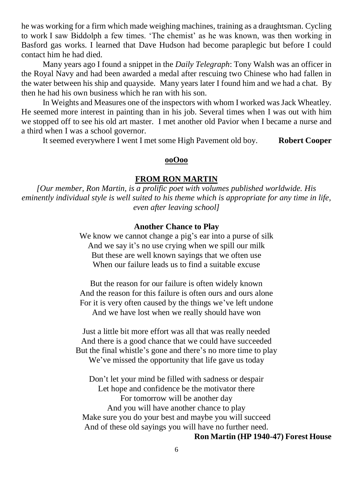he was working for a firm which made weighing machines, training as a draughtsman. Cycling to work I saw Biddolph a few times. 'The chemist' as he was known, was then working in Basford gas works. I learned that Dave Hudson had become paraplegic but before I could contact him he had died.

Many years ago I found a snippet in the *Daily Telegraph*: Tony Walsh was an officer in the Royal Navy and had been awarded a medal after rescuing two Chinese who had fallen in the water between his ship and quayside. Many years later I found him and we had a chat. By then he had his own business which he ran with his son.

In Weights and Measures one of the inspectors with whom I worked was Jack Wheatley. He seemed more interest in painting than in his job. Several times when I was out with him we stopped off to see his old art master. I met another old Pavior when I became a nurse and a third when I was a school governor.

It seemed everywhere I went I met some High Pavement old boy. **Robert Cooper**

#### **ooOoo**

# **FROM RON MARTIN**

*[Our member, Ron Martin, is a prolific poet with volumes published worldwide. His eminently individual style is well suited to his theme which is appropriate for any time in life, even after leaving school]*

#### **Another Chance to Play**

We know we cannot change a pig's ear into a purse of silk And we say it's no use crying when we spill our milk But these are well known sayings that we often use When our failure leads us to find a suitable excuse

But the reason for our failure is often widely known And the reason for this failure is often ours and ours alone For it is very often caused by the things we've left undone And we have lost when we really should have won

Just a little bit more effort was all that was really needed And there is a good chance that we could have succeeded But the final whistle's gone and there's no more time to play We've missed the opportunity that life gave us today

Don't let your mind be filled with sadness or despair Let hope and confidence be the motivator there For tomorrow will be another day And you will have another chance to play Make sure you do your best and maybe you will succeed And of these old sayings you will have no further need.

**Ron Martin (HP 1940-47) Forest House**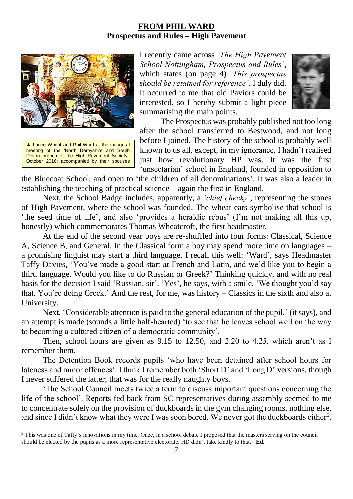# **FROM PHIL WARD Prospectus and Rules – High Pavement**



▲ Lance Wright and Phil Ward at the inaugural meeting of the 'North Derbyshire and South Devon branch of the High Pavement Society', October 2016; accompanied by their spouses Christine and Judith.

1

I recently came across *'The High Pavement School Nottingham, Prospectus and Rules'*, which states (on page 4) *'This prospectus should be retained for reference'*. I duly did. It occurred to me that old Paviors could be interested, so I hereby submit a light piece summarising the main points.



The Prospectus was probably published not too long after the school transferred to Bestwood, and not long before I joined. The history of the school is probably well known to us all, except, in my ignorance, I hadn't realised just how revolutionary HP was. It was the first 'unsectarian' school in England, founded in opposition to

the Bluecoat School, and open to 'the children of all denominations'. It was also a leader in establishing the teaching of practical science – again the first in England.

Next, the School Badge includes, apparently, a *'chief checky'*, representing the stones of High Pavement, where the school was founded. The wheat ears symbolise that school is 'the seed time of life', and also 'provides a heraldic rebus' (I'm not making all this up, honestly) which commemorates Thomas Wheatcroft, the first headmaster.

At the end of the second year boys are re-shuffled into four forms: Classical, Science A, Science B, and General. In the Classical form a boy may spend more time on languages – a promising linguist may start a third language. I recall this well: 'Ward', says Headmaster Taffy Davies, 'You've made a good start at French and Latin, and we'd like you to begin a third language. Would you like to do Russian or Greek?' Thinking quickly, and with no real basis for the decision I said 'Russian, sir'. 'Yes', he says, with a smile. 'We thought you'd say that. You're doing Greek.' And the rest, for me, was history – Classics in the sixth and also at University.

Next, 'Considerable attention is paid to the general education of the pupil,' (it says), and an attempt is made (sounds a little half-hearted) 'to see that he leaves school well on the way to becoming a cultured citizen of a democratic community'.

Then, school hours are given as 9.15 to 12.50, and 2.20 to 4.25, which aren't as I remember them.

The Detention Book records pupils 'who have been detained after school hours for lateness and minor offences'. I think I remember both 'Short D' and 'Long D' versions, though I never suffered the latter; that was for the really naughty boys.

'The School Council meets twice a term to discuss important questions concerning the life of the school'. Reports fed back from SC representatives during assembly seemed to me to concentrate solely on the provision of duckboards in the gym changing rooms, nothing else, and since I didn't know what they were I was soon bored. We never got the duckboards either<sup>3</sup>.

<sup>3</sup> This was one of Taffy's innovations in my time. Once, in a school debate I proposed that the masters serving on the council should be elected by the pupils as a more representative electorate. HD didn't take kindly to that. –**Ed.**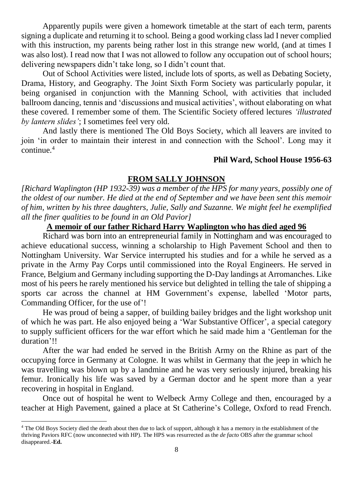Apparently pupils were given a homework timetable at the start of each term, parents signing a duplicate and returning it to school. Being a good working class lad I never complied with this instruction, my parents being rather lost in this strange new world, (and at times I was also lost). I read now that I was not allowed to follow any occupation out of school hours; delivering newspapers didn't take long, so I didn't count that.

Out of School Activities were listed, include lots of sports, as well as Debating Society, Drama, History, and Geography. The Joint Sixth Form Society was particularly popular, it being organised in conjunction with the Manning School, with activities that included ballroom dancing, tennis and 'discussions and musical activities', without elaborating on what these covered. I remember some of them. The Scientific Society offered lectures *'illustrated by lantern slides'*; I sometimes feel very old.

And lastly there is mentioned The Old Boys Society, which all leavers are invited to join 'in order to maintain their interest in and connection with the School'. Long may it continue.<sup>4</sup>

#### **Phil Ward, School House 1956-63**

# **FROM SALLY JOHNSON**

*[Richard Waplington (HP 1932-39) was a member of the HPS for many years, possibly one of the oldest of our number. He died at the end of September and we have been sent this memoir of him, written by his three daughters, Julie, Sally and Suzanne. We might feel he exemplified all the finer qualities to be found in an Old Pavior]*

# **A memoir of our father Richard Harry Waplington who has died aged 96**

Richard was born into an entrepreneurial family in Nottingham and was encouraged to achieve educational success, winning a scholarship to High Pavement School and then to Nottingham University. War Service interrupted his studies and for a while he served as a private in the Army Pay Corps until commissioned into the Royal Engineers. He served in France, Belgium and Germany including supporting the D-Day landings at Arromanches. Like most of his peers he rarely mentioned his service but delighted in telling the tale of shipping a sports car across the channel at HM Government's expense, labelled 'Motor parts, Commanding Officer, for the use of'!

He was proud of being a sapper, of building bailey bridges and the light workshop unit of which he was part. He also enjoyed being a 'War Substantive Officer', a special category to supply sufficient officers for the war effort which he said made him a 'Gentleman for the duration'!!

After the war had ended he served in the British Army on the Rhine as part of the occupying force in Germany at Cologne. It was whilst in Germany that the jeep in which he was travelling was blown up by a landmine and he was very seriously injured, breaking his femur. Ironically his life was saved by a German doctor and he spent more than a year recovering in hospital in England.

Once out of hospital he went to Welbeck Army College and then, encouraged by a teacher at High Pavement, gained a place at St Catherine's College, Oxford to read French.

1

<sup>&</sup>lt;sup>4</sup> The Old Boys Society died the death about then due to lack of support, although it has a memory in the establishment of the thriving Paviors RFC (now unconnected with HP). The HPS was resurrected as the *de facto* OBS after the grammar school disappeared.-**Ed.**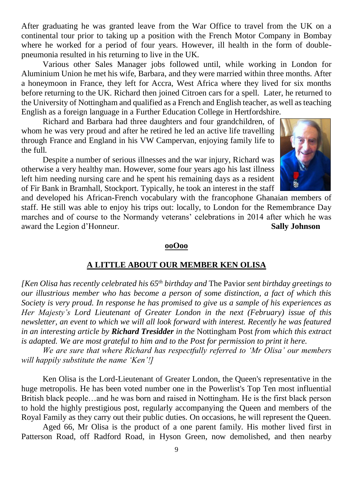After graduating he was granted leave from the War Office to travel from the UK on a continental tour prior to taking up a position with the French Motor Company in Bombay where he worked for a period of four years. However, ill health in the form of doublepneumonia resulted in his returning to live in the UK.

Various other Sales Manager jobs followed until, while working in London for Aluminium Union he met his wife, Barbara, and they were married within three months. After a honeymoon in France, they left for Accra, West Africa where they lived for six months before returning to the UK. Richard then joined Citroen cars for a spell. Later, he returned to the University of Nottingham and qualified as a French and English teacher, as well as teaching English as a foreign language in a Further Education College in Hertfordshire.

Richard and Barbara had three daughters and four grandchildren, of whom he was very proud and after he retired he led an active life travelling through France and England in his VW Campervan, enjoying family life to the full.

Despite a number of serious illnesses and the war injury, Richard was otherwise a very healthy man. However, some four years ago his last illness left him needing nursing care and he spent his remaining days as a resident of Fir Bank in Bramhall, Stockport. Typically, he took an interest in the staff



and developed his African-French vocabulary with the francophone Ghanaian members of staff. He still was able to enjoy his trips out: locally, to London for the Remembrance Day marches and of course to the Normandy veterans' celebrations in 2014 after which he was award the Legion d'Honneur. **Sally Johnson**

#### **ooOoo**

# **A LITTLE ABOUT OUR MEMBER KEN OLISA**

*[Ken Olisa has recently celebrated his 65th birthday and* The Pavior *sent birthday greetings to our illustrious member who has become a person of some distinction, a fact of which this Society is very proud. In response he has promised to give us a sample of his experiences as Her Majesty's Lord Lieutenant of Greater London in the next (February) issue of this newsletter, an event to which we will all look forward with interest. Recently he was featured in an interesting article by Richard Tresidder in the* Nottingham Post *from which this extract is adapted. We are most grateful to him and to the Post for permission to print it here.* 

*We are sure that where Richard has respectfully referred to 'Mr Olisa' our members will happily substitute the name 'Ken'!]*

Ken Olisa is the Lord-Lieutenant of Greater London, the Queen's representative in the huge metropolis. He has been voted number one in the Powerlist's Top Ten most influential British black people…and he was born and raised in Nottingham. He is the first black person to hold the highly prestigious post, regularly accompanying the Queen and members of the [Royal Family](http://www.nottinghampost.com/royal-family) as they carry out their public duties. On occasions, he will represent the Queen.

Aged 66, Mr Olisa is the product of a one parent family. His mother lived first in Patterson Road, off Radford Road, in [Hyson Green,](http://www.nottinghampost.com/hyson-green) now demolished, and then nearby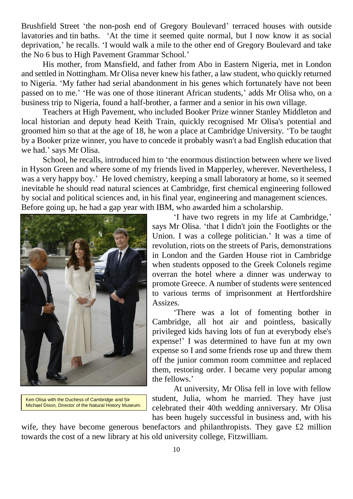Brushfield Street 'the non-posh end of Gregory Boulevard' terraced houses with outside lavatories and tin baths. 'At the time it seemed quite normal, but I now know it as social deprivation,' he recalls. 'I would walk a mile to the other end of Gregory Boulevard and take the No 6 bus to High Pavement Grammar School.'

His mother, from [Mansfield,](http://www.nottinghampost.com/mansfield) and father from Abo in Eastern Nigeria, met in London and settled in Nottingham. Mr Olisa never knew his father, a law student, who quickly returned to Nigeria. 'My father had serial abandonment in his genes which fortunately have not been passed on to me.' 'He was one of those itinerant African students,' adds Mr Olisa who, on a [business](http://www.nottinghampost.com/business) trip to Nigeria, found a half-brother, a farmer and a senior in his own village.

Teachers at High Pavement, who included Booker Prize winner Stanley Middleton and local historian and deputy head Keith Train, quickly recognised Mr Olisa's potential and groomed him so that at the age of 18, he won a place at Cambridge University. 'To be taught by a Booker prize winner, you have to concede it probably wasn't a bad English education that we had.' says Mr Olisa.

School, he recalls, introduced him to 'the enormous distinction between where we lived in Hyson Green and where some of my friends lived in [Mapperley,](http://www.nottinghampost.com/mapperley) wherever. Nevertheless, I was a very happy boy.' He loved chemistry, keeping a small laboratory at home, so it seemed inevitable he should read natural sciences at Cambridge, first chemical engineering followed by social and political sciences and, in his final year, engineering and management sciences. Before going up, he had a gap year with IBM, who awarded him a scholarship.



Ken Olisa with the Duchess of Cambridge and Sir Michael Dixon, Director of the Natural History Museum.

'I have two regrets in my life at Cambridge,' says Mr Olisa. 'that I didn't join the Footlights or the Union. I was a college politician.' It was a time of revolution, riots on the streets of Paris, demonstrations in London and the Garden House riot in Cambridge when students opposed to the Greek Colonels regime overran the hotel where a dinner was underway to promote Greece. A number of students were sentenced to various terms of imprisonment at Hertfordshire Assizes.

'There was a lot of fomenting bother in Cambridge, all hot air and pointless, basically privileged kids having lots of fun at everybody else's expense!' I was determined to have fun at my own expense so I and some friends rose up and threw them off the junior common room committee and replaced them, restoring order. I became very popular among the fellows.'

At university, Mr Olisa fell in love with fellow student, Julia, whom he married. They have just celebrated their 40th wedding anniversary. Mr Olisa has been hugely successful in business and, with his

wife, they have become generous benefactors and philanthropists. They gave £2 million towards the cost of a new library at his old university college, Fitzwilliam.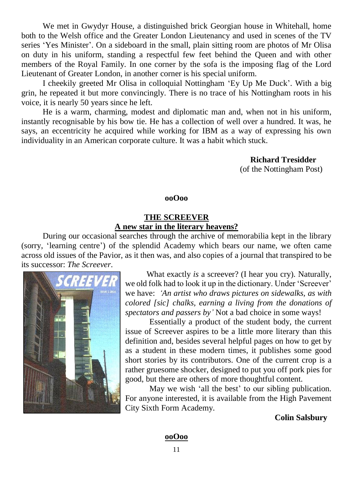We met in Gwydyr House, a distinguished brick Georgian house in Whitehall, home both to the Welsh office and the Greater London Lieutenancy and used in scenes of the TV series 'Yes Minister'. On a sideboard in the small, plain sitting room are photos of Mr Olisa on duty in his uniform, standing a respectful few feet behind the Queen and with other members of the Royal Family. In one corner by the sofa is the imposing flag of the Lord Lieutenant of Greater London, in another corner is his special uniform.

I cheekily greeted Mr Olisa in colloquial Nottingham 'Ey Up Me Duck'. With a big grin, he repeated it but more convincingly. There is no trace of his Nottingham roots in his voice, it is nearly 50 years since he left.

He is a warm, charming, modest and diplomatic man and, when not in his uniform, instantly recognisable by his bow tie. He has a collection of well over a hundred. It was, he says, an eccentricity he acquired while working for IBM as a way of expressing his own individuality in an American corporate culture. It was a habit which stuck.

> **Richard Tresidder**  (of the Nottingham Post)

**ooOoo**

## **THE SCREEVER A new star in the literary heavens?**

During our occasional searches through the archive of memorabilia kept in the library (sorry, 'learning centre') of the splendid Academy which bears our name, we often came across old issues of the Pavior, as it then was, and also copies of a journal that transpired to be its successor: *The Screever*.



What exactly *is* a screever? (I hear you cry). Naturally, we old folk had to look it up in the dictionary. Under 'Screever' we have: *'An artist who draws pictures on sidewalks, as with colored [sic] chalks, earning a living from the donations of spectators and passers by'* Not a bad choice in some ways!

Essentially a product of the student body, the current issue of Screever aspires to be a little more literary than this definition and, besides several helpful pages on how to get by as a student in these modern times, it publishes some good short stories by its contributors. One of the current crop is a rather gruesome shocker, designed to put you off pork pies for good, but there are others of more thoughtful content.

May we wish 'all the best' to our sibling publication. For anyone interested, it is available from the High Pavement City Sixth Form Academy.

**Colin Salsbury**

**ooOoo**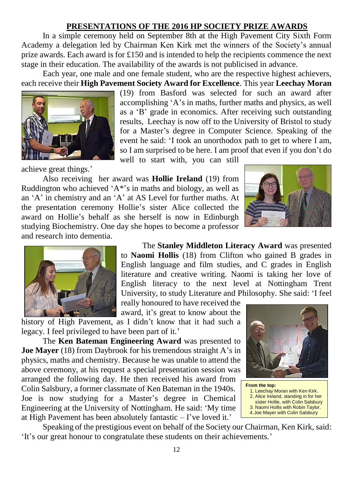# **PRESENTATIONS OF THE 2016 HP SOCIETY PRIZE AWARDS**

In a simple ceremony held on September 8th at the High Pavement City Sixth Form Academy a delegation led by Chairman Ken Kirk met the winners of the Society's annual prize awards. Each award is for £150 and is intended to help the recipients commence the next stage in their education. The availability of the awards is not publicised in advance.

Each year, one male and one female student, who are the respective highest achievers, each receive their **High Pavement Society Award for Excellence**. This year **Leechay Moran**



achieve great things.'

(19) from Basford was selected for such an award after accomplishing 'A's in maths, further maths and physics, as well as a 'B' grade in economics. After receiving such outstanding results, Leechay is now off to the University of Bristol to study for a Master's degree in Computer Science. Speaking of the event he said: 'I took an unorthodox path to get to where I am, so I am surprised to be here. I am proof that even if you don't do

well to start with, you can still

Also receiving her award was **Hollie Ireland** (19) from Ruddington who achieved  $A^*$ 's in maths and biology, as well as an 'A' in chemistry and an 'A' at AS Level for further maths. At the presentation ceremony Hollie's sister Alice collected the award on Hollie's behalf as she herself is now in Edinburgh studying Biochemistry. One day she hopes to become a professor and research into dementia.





The **Stanley Middleton Literacy Award** was presented to **Naomi Hollis** (18) from Clifton who gained B grades in English language and film studies, and C grades in English literature and creative writing. Naomi is taking her love of English literacy to the next level at Nottingham Trent University, to study Literature and Philosophy. She said: 'I feel

really honoured to have received the award, it's great to know about the

history of High Pavement, as I didn't know that it had such a legacy. I feel privileged to have been part of it.'

The **Ken Bateman Engineering Award** was presented to **Joe Mayer** (18) from Daybrook for his tremendous straight A's in physics, maths and chemistry. Because he was unable to attend the above ceremony, at his request a special presentation session was arranged the following day. He then received his award from Colin Salsbury, a former classmate of Ken Bateman in the 1940s. Joe is now studying for a Master's degree in Chemical Engineering at the University of Nottingham. He said: 'My time at High Pavement has been absolutely fantastic – I've loved it.'



**From the top:** 1. Leechay Moran with Ken Kirk. 2. Alice Ireland, standing in for her sister Hollie, with Colin Salsbury 3. Naomi Hollis with Robin Taylor. 4. Joe Mayer with Colin Salsbury

Speaking of the prestigious event on behalf of the Society our Chairman, Ken Kirk, said: 'It's our great honour to congratulate these students on their achievements.'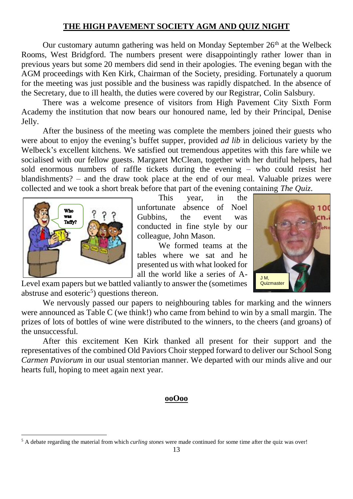# **THE HIGH PAVEMENT SOCIETY AGM AND QUIZ NIGHT**

Our customary autumn gathering was held on Monday September  $26<sup>th</sup>$  at the Welbeck Rooms, West Bridgford. The numbers present were disappointingly rather lower than in previous years but some 20 members did send in their apologies. The evening began with the AGM proceedings with Ken Kirk, Chairman of the Society, presiding. Fortunately a quorum for the meeting was just possible and the business was rapidly dispatched. In the absence of the Secretary, due to ill health, the duties were covered by our Registrar, Colin Salsbury.

There was a welcome presence of visitors from High Pavement City Sixth Form Academy the institution that now bears our honoured name, led by their Principal, Denise Jelly.

After the business of the meeting was complete the members joined their guests who were about to enjoy the evening's buffet supper, provided *ad lib* in delicious variety by the Welbeck's excellent kitchens. We satisfied out tremendous appetites with this fare while we socialised with our fellow guests. Margaret McClean, together with her dutiful helpers, had sold enormous numbers of raffle tickets during the evening – who could resist her blandishments? – and the draw took place at the end of our meal. Valuable prizes were collected and we took a short break before that part of the evening containing *The Quiz*.



<u>.</u>

This year, in the unfortunate absence of Noel Gubbins, the event was conducted in fine style by our colleague, John Mason.

We formed teams at the tables where we sat and he presented us with what looked for all the world like a series of A-



Level exam papers but we battled valiantly to answer the (sometimes abstruse and esoteric<sup>5</sup>) questions thereon.

We nervously passed our papers to neighbouring tables for marking and the winners were announced as Table C (we think!) who came from behind to win by a small margin. The prizes of lots of bottles of wine were distributed to the winners, to the cheers (and groans) of the unsuccessful.

After this excitement Ken Kirk thanked all present for their support and the representatives of the combined Old Paviors Choir stepped forward to deliver our School Song *Carmen Paviorum* in our usual stentorian manner. We departed with our minds alive and our hearts full, hoping to meet again next year.

#### **ooOoo**

<sup>5</sup> A debate regarding the material from which *curling stones* were made continued for some time after the quiz was over!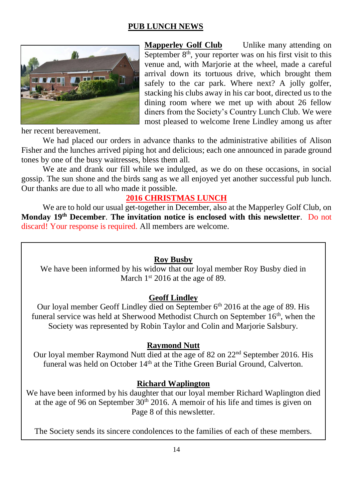# **PUB LUNCH NEWS**



**Mapperley Golf Club** Unlike many attending on September  $8<sup>th</sup>$ , your reporter was on his first visit to this venue and, with Marjorie at the wheel, made a careful arrival down its tortuous drive, which brought them safely to the car park. Where next? A jolly golfer, stacking his clubs away in his car boot, directed us to the dining room where we met up with about 26 fellow diners from the Society's Country Lunch Club. We were most pleased to welcome Irene Lindley among us after

her recent bereavement.

We had placed our orders in advance thanks to the administrative abilities of Alison Fisher and the lunches arrived piping hot and delicious; each one announced in parade ground tones by one of the busy waitresses, bless them all.

We ate and drank our fill while we indulged, as we do on these occasions, in social gossip. The sun shone and the birds sang as we all enjoyed yet another successful pub lunch. Our thanks are due to all who made it possible.

# **2016 CHRISTMAS LUNCH**

We are to hold our usual get-together in December, also at the Mapperley Golf Club, on **Monday 19th December**. **The invitation notice is enclosed with this newsletter**. Do not discard! Your response is required. All members are welcome.

## **Roy Busby**

We have been informed by his widow that our loyal member Roy Busby died in March 1<sup>st</sup> 2016 at the age of 89.

#### **Geoff Lindley**

Our loyal member Geoff Lindley died on September  $6<sup>th</sup>$  2016 at the age of 89. His funeral service was held at Sherwood Methodist Church on September  $16<sup>th</sup>$ , when the Society was represented by Robin Taylor and Colin and Marjorie Salsbury.

#### **Raymond Nutt**

Our loyal member Raymond Nutt died at the age of 82 on 22nd September 2016. His funeral was held on October  $14<sup>th</sup>$  at the Tithe Green Burial Ground, Calverton.

## **Richard Waplington**

We have been informed by his daughter that our loyal member Richard Waplington died at the age of 96 on September  $30<sup>th</sup>$  2016. A memoir of his life and times is given on Page 8 of this newsletter.

The Society sends its sincere condolences to the families of each of these members.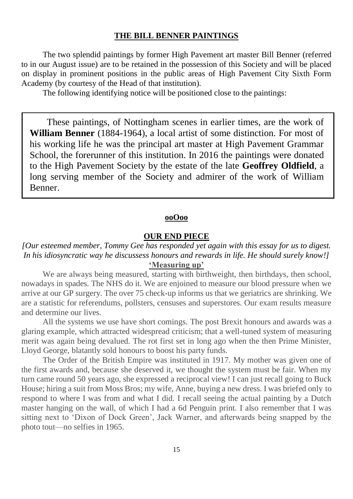#### **THE BILL BENNER PAINTINGS**

The two splendid paintings by former High Pavement art master Bill Benner (referred to in our August issue) are to be retained in the possession of this Society and will be placed on display in prominent positions in the public areas of High Pavement City Sixth Form Academy (by courtesy of the Head of that institution).

The following identifying notice will be positioned close to the paintings:

These paintings, of Nottingham scenes in earlier times, are the work of **William Benner** (1884-1964), a local artist of some distinction. For most of his working life he was the principal art master at High Pavement Grammar School, the forerunner of this institution. In 2016 the paintings were donated to the High Pavement Society by the estate of the late **Geoffrey Oldfield**, a long serving member of the Society and admirer of the work of William Benner.

# **ooOoo**

#### **OUR END PIECE**

# *[Our esteemed member, Tommy Gee has responded yet again with this essay for us to digest. In his idiosyncratic way he discussess honours and rewards in life. He should surely know!]* **'Measuring up'**

We are always being measured, starting with birthweight, then birthdays, then school, nowadays in spades. The NHS do it. We are enjoined to measure our blood pressure when we arrive at our GP surgery. The over 75 check-up informs us that we geriatrics are shrinking. We are a statistic for referendums, pollsters, censuses and superstores. Our exam results measure and determine our lives.

All the systems we use have short comings. The post Brexit honours and awards was a glaring example, which attracted widespread criticism; that a well-tuned system of measuring merit was again being devalued. The rot first set in long ago when the then Prime Minister, Lloyd George, blatantly sold honours to boost his party funds.

The Order of the British Empire was instituted in 1917. My mother was given one of the first awards and, because she deserved it, we thought the system must be fair. When my turn came round 50 years ago, she expressed a reciprocal view! I can just recall going to Buck House; hiring a suit from Moss Bros; my wife, Anne, buying a new dress. I was briefed only to respond to where I was from and what I did. I recall seeing the actual painting by a Dutch master hanging on the wall, of which I had a 6d Penguin print. I also remember that I was sitting next to 'Dixon of Dock Green', Jack Warner, and afterwards being snapped by the photo tout—no selfies in 1965.